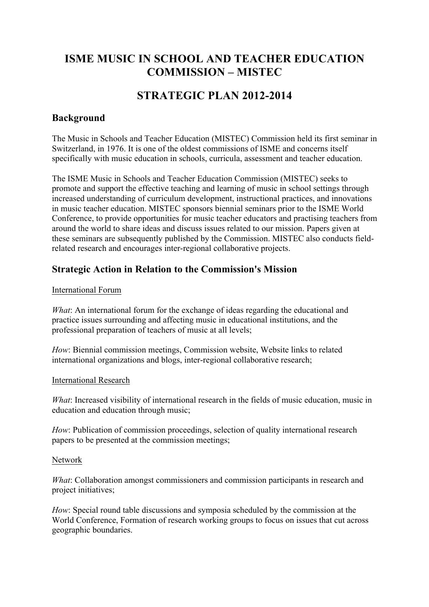# **ISME MUSIC IN SCHOOL AND TEACHER EDUCATION COMMISSION – MISTEC**

# **STRATEGIC PLAN 2012-2014**

### **Background**

The Music in Schools and Teacher Education (MISTEC) Commission held its first seminar in Switzerland, in 1976. It is one of the oldest commissions of ISME and concerns itself specifically with music education in schools, curricula, assessment and teacher education.

The ISME Music in Schools and Teacher Education Commission (MISTEC) seeks to promote and support the effective teaching and learning of music in school settings through increased understanding of curriculum development, instructional practices, and innovations in music teacher education. MISTEC sponsors biennial seminars prior to the ISME World Conference, to provide opportunities for music teacher educators and practising teachers from around the world to share ideas and discuss issues related to our mission. Papers given at these seminars are subsequently published by the Commission. MISTEC also conducts fieldrelated research and encourages inter-regional collaborative projects.

### **Strategic Action in Relation to the Commission's Mission**

#### International Forum

*What*: An international forum for the exchange of ideas regarding the educational and practice issues surrounding and affecting music in educational institutions, and the professional preparation of teachers of music at all levels;

*How*: Biennial commission meetings, Commission website, Website links to related international organizations and blogs, inter-regional collaborative research;

#### International Research

*What*: Increased visibility of international research in the fields of music education, music in education and education through music;

*How*: Publication of commission proceedings, selection of quality international research papers to be presented at the commission meetings;

#### Network

*What*: Collaboration amongst commissioners and commission participants in research and project initiatives;

*How*: Special round table discussions and symposia scheduled by the commission at the World Conference, Formation of research working groups to focus on issues that cut across geographic boundaries.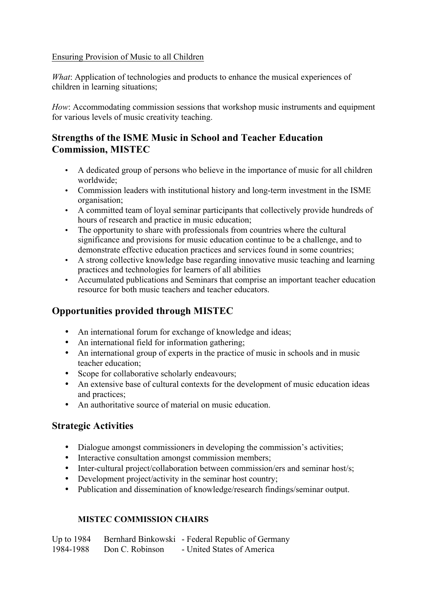#### Ensuring Provision of Music to all Children

*What*: Application of technologies and products to enhance the musical experiences of children in learning situations;

*How*: Accommodating commission sessions that workshop music instruments and equipment for various levels of music creativity teaching.

## **Strengths of the ISME Music in School and Teacher Education Commission, MISTEC**

- A dedicated group of persons who believe in the importance of music for all children worldwide;
- Commission leaders with institutional history and long-term investment in the ISME organisation;
- A committed team of loyal seminar participants that collectively provide hundreds of hours of research and practice in music education;
- The opportunity to share with professionals from countries where the cultural significance and provisions for music education continue to be a challenge, and to demonstrate effective education practices and services found in some countries;
- A strong collective knowledge base regarding innovative music teaching and learning practices and technologies for learners of all abilities
- Accumulated publications and Seminars that comprise an important teacher education resource for both music teachers and teacher educators.

## **Opportunities provided through MISTEC**

- An international forum for exchange of knowledge and ideas;
- An international field for information gathering;
- An international group of experts in the practice of music in schools and in music teacher education;
- Scope for collaborative scholarly endeavours;
- An extensive base of cultural contexts for the development of music education ideas and practices;
- An authoritative source of material on music education.

### **Strategic Activities**

- Dialogue amongst commissioners in developing the commission's activities;
- Interactive consultation amongst commission members;
- Inter-cultural project/collaboration between commission/ers and seminar host/s;
- Development project/activity in the seminar host country:
- Publication and dissemination of knowledge/research findings/seminar output.

### **MISTEC COMMISSION CHAIRS**

Up to 1984 Bernhard Binkowski - Federal Republic of Germany<br>1984-1988 Don C. Robinson - United States of America Don C. Robinson - United States of America